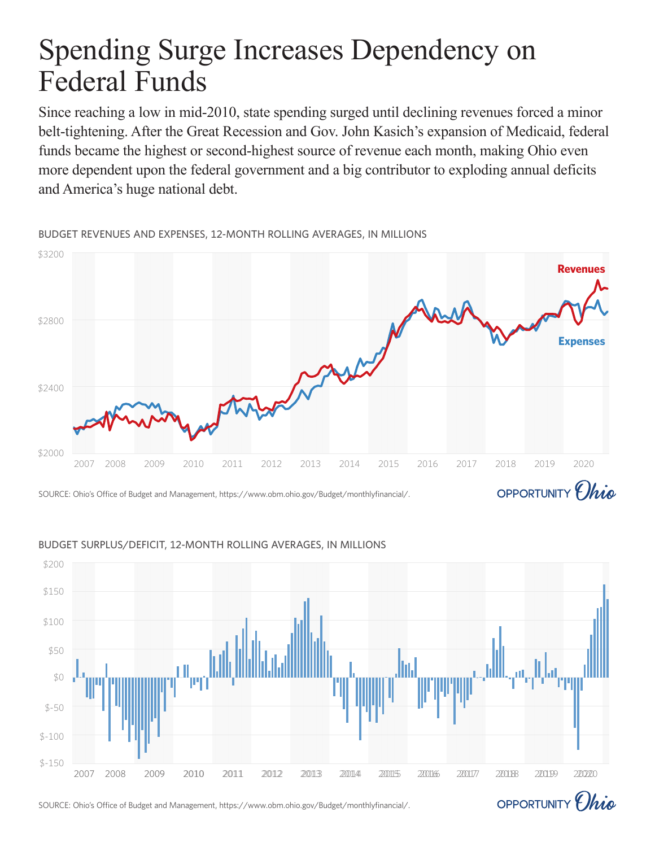# Spending Surge Increases Dependency on Federal Funds

Since reaching a low in mid-2010, state spending surged until declining revenues forced a minor belt-tightening. After the Great Recession and Gov. John Kasich's expansion of Medicaid, federal funds became the highest or second-highest source of revenue each month, making Ohio even more dependent upon the federal government and a big contributor to exploding annual deficits and America's huge national debt.

2007 2008 2009 2010 2011 2012 2013 2014 2015 2016 2017 2018 2019 2020 \$2000 \$2400 \$2800 \$3200 **Revenues Expenses**

BUDGET REVENUES AND EXPENSES, 12-MONTH ROLLING AVERAGES, IN MILLIONS

SOURCE: Ohio's Office of Budget and Management, https://www.obm.ohio.gov/Budget/monthlyfinancial/.



### BUDGET SURPLUS/DEFICIT, 12-MONTH ROLLING AVERAGES, IN MILLIONS

SOURCE: Ohio's Office of Budget and Management, https://www.obm.ohio.gov/Budget/monthlyfinancial/.



OPPORTUNITY *Ohio*